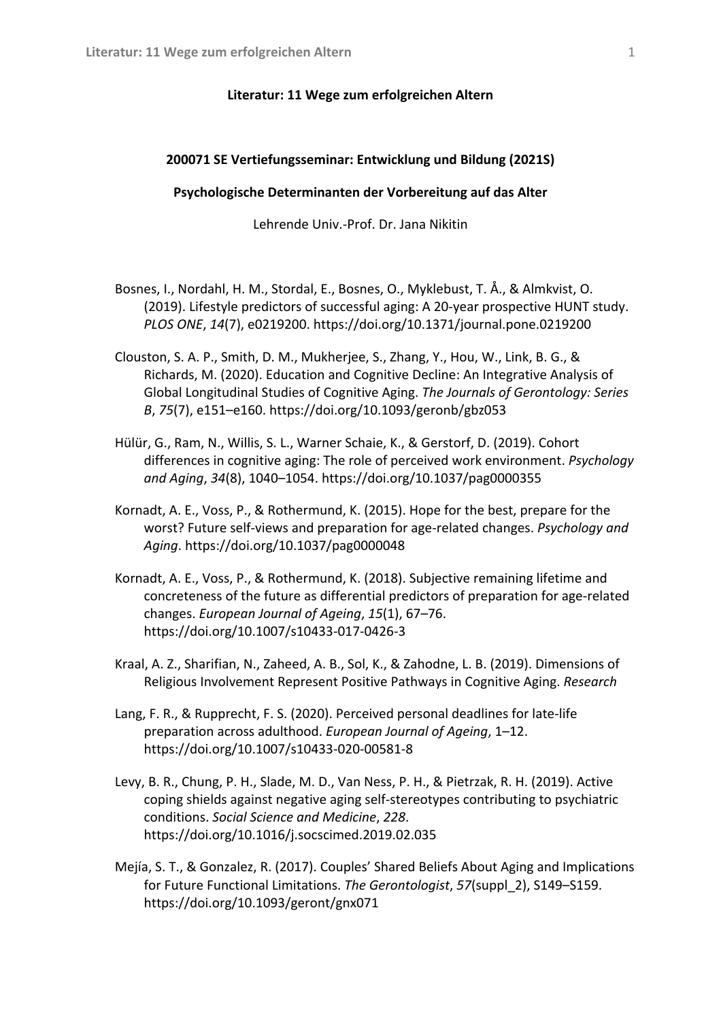## **Literatur: 11 Wege zum erfolgreichen Altern**

## **200071 SE Vertiefungsseminar: Entwicklung und Bildung (2021S)**

## **Psychologische Determinanten der Vorbereitung auf das Alter**

Lehrende Univ.-Prof. Dr. Jana Nikitin

- Bosnes, I., Nordahl, H. M., Stordal, E., Bosnes, O., Myklebust, T. Å., & Almkvist, O. (2019). Lifestyle predictors of successful aging: A 20-year prospective HUNT study. *PLOS ONE*, *14*(7), e0219200. https://doi.org/10.1371/journal.pone.0219200
- Clouston, S. A. P., Smith, D. M., Mukherjee, S., Zhang, Y., Hou, W., Link, B. G., & Richards, M. (2020). Education and Cognitive Decline: An Integrative Analysis of Global Longitudinal Studies of Cognitive Aging. *The Journals of Gerontology: Series B*, *75*(7), e151–e160. https://doi.org/10.1093/geronb/gbz053
- Hülür, G., Ram, N., Willis, S. L., Warner Schaie, K., & Gerstorf, D. (2019). Cohort differences in cognitive aging: The role of perceived work environment. *Psychology and Aging*, *34*(8), 1040–1054. https://doi.org/10.1037/pag0000355
- Kornadt, A. E., Voss, P., & Rothermund, K. (2015). Hope for the best, prepare for the worst? Future self-views and preparation for age-related changes. *Psychology and Aging*. https://doi.org/10.1037/pag0000048
- Kornadt, A. E., Voss, P., & Rothermund, K. (2018). Subjective remaining lifetime and concreteness of the future as differential predictors of preparation for age-related changes. *European Journal of Ageing*, *15*(1), 67–76. https://doi.org/10.1007/s10433-017-0426-3
- Kraal, A. Z., Sharifian, N., Zaheed, A. B., Sol, K., & Zahodne, L. B. (2019). Dimensions of Religious Involvement Represent Positive Pathways in Cognitive Aging. *Research*
- Lang, F. R., & Rupprecht, F. S. (2020). Perceived personal deadlines for late-life preparation across adulthood. *European Journal of Ageing*, 1–12. https://doi.org/10.1007/s10433-020-00581-8
- Levy, B. R., Chung, P. H., Slade, M. D., Van Ness, P. H., & Pietrzak, R. H. (2019). Active coping shields against negative aging self-stereotypes contributing to psychiatric conditions. *Social Science and Medicine*, *228*. https://doi.org/10.1016/j.socscimed.2019.02.035
- Mejía, S. T., & Gonzalez, R. (2017). Couples' Shared Beliefs About Aging and Implications for Future Functional Limitations. *The Gerontologist*, *57*(suppl\_2), S149–S159. https://doi.org/10.1093/geront/gnx071